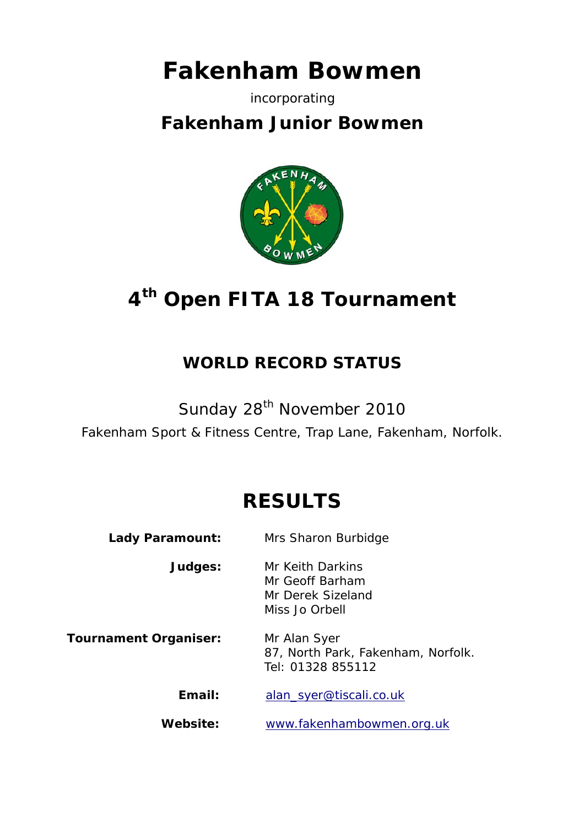# **Fakenham Bowmen**

#### incorporating

## **Fakenham Junior Bowmen**



## **4th Open FITA 18 Tournament**

## **WORLD RECORD STATUS**

Sunday 28<sup>th</sup> November 2010

Fakenham Sport & Fitness Centre, Trap Lane, Fakenham, Norfolk.

## **RESULTS**

| <b>Lady Paramount:</b>       | Mrs Sharon Burbidge                                                        |
|------------------------------|----------------------------------------------------------------------------|
| Judges:                      | Mr Keith Darkins<br>Mr Geoff Barham<br>Mr Derek Sizeland<br>Miss Jo Orbell |
| <b>Tournament Organiser:</b> | Mr Alan Syer<br>87, North Park, Fakenham, Norfolk.<br>Tel: 01328 855112    |
| Email:                       | alan_syer@tiscali.co.uk                                                    |
| Website:                     | www.fakenhambowmen.org.uk                                                  |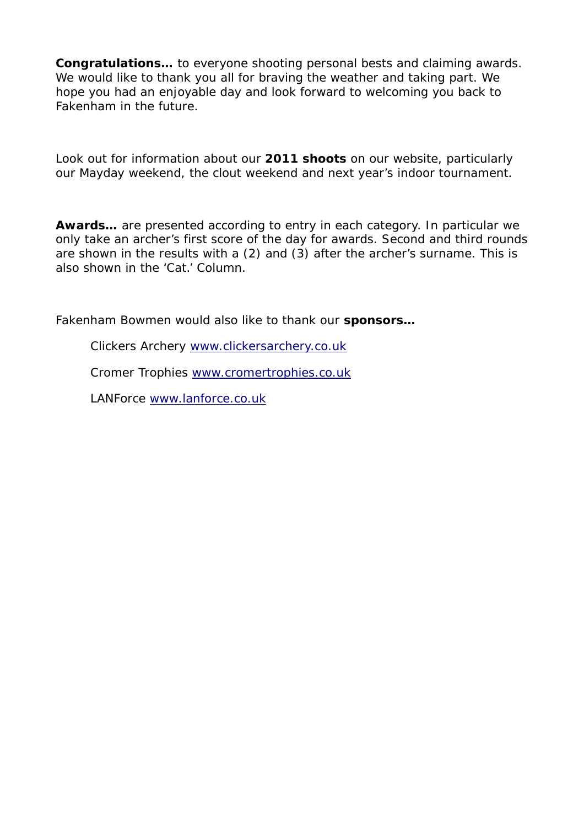**Congratulations…** to everyone shooting personal bests and claiming awards. We would like to thank you all for braving the weather and taking part. We hope you had an enjoyable day and look forward to welcoming you back to Fakenham in the future.

Look out for information about our **2011 shoots** on our website, particularly our Mayday weekend, the clout weekend and next year's indoor tournament.

**Awards…** are presented according to entry in each category. In particular we only take an archer's first score of the day for awards. Second and third rounds are shown in the results with a (2) and (3) after the archer's surname. This is also shown in the 'Cat.' Column.

Fakenham Bowmen would also like to thank our **sponsors…**

Clickers Archery www.clickersarchery.co.uk

Cromer Trophies www.cromertrophies.co.uk

LANForce www.lanforce.co.uk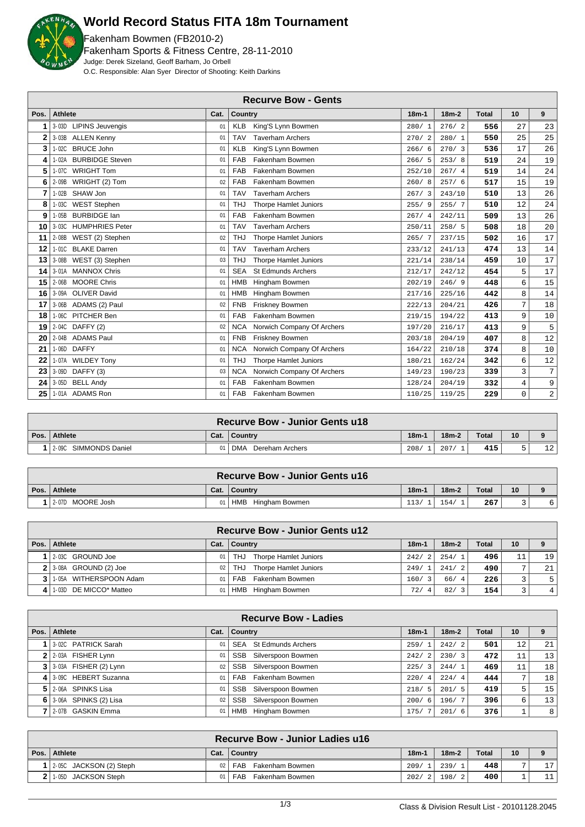

### **World Record Status FITA 18m Tournament**

Fakenham Bowmen (FB2010-2) Fakenham Sports & Fitness Centre, 28-11-2010 Judge: Derek Sizeland, Geoff Barham, Jo Orbell O.C. Responsible: Alan Syer Director of Shooting: Keith Darkins

|      | <b>Recurve Bow - Gents</b>  |      |                                            |         |         |              |                |                |  |  |
|------|-----------------------------|------|--------------------------------------------|---------|---------|--------------|----------------|----------------|--|--|
| Pos. | <b>Athlete</b>              | Cat. | <b>Country</b>                             | $18m-1$ | $18m-2$ | <b>Total</b> | 10             | 9              |  |  |
| 1    | 3-03D LIPINS Jeuvengis      | 01   | King'S Lynn Bowmen<br><b>KLB</b>           | 280/1   | 276/2   | 556          | 27             | 23             |  |  |
| 2    | 3-03B ALLEN Kenny           | 01   | <b>TAV</b><br><b>Taverham Archers</b>      | 270/2   | 280/1   | 550          | 25             | 25             |  |  |
| 3    | 1-02C BRUCE John            | 01   | King'S Lynn Bowmen<br><b>KLB</b>           | 266/6   | 270/3   | 536          | 17             | 26             |  |  |
| 4    | 1-02A BURBIDGE Steven       | 01   | FAB<br>Fakenham Bowmen                     | 266/5   | 253/8   | 519          | 24             | 19             |  |  |
| 5    | 1-07C WRIGHT Tom            | 01   | FAB<br>Fakenham Bowmen                     | 252/10  | 267/4   | 519          | 14             | 24             |  |  |
| 6    | 2-09B WRIGHT (2) Tom        | 02   | FAB<br>Fakenham Bowmen                     | 260/8   | 257/6   | 517          | 1.5            | 19             |  |  |
| 7    | 1-02B SHAW Jon              | 01   | <b>TAV</b><br><b>Taverham Archers</b>      | 267/3   | 243/10  | 510          | 13             | 26             |  |  |
| 8    | 1-03C WEST Stephen          | 01   | <b>THJ</b><br><b>Thorpe Hamlet Juniors</b> | 255/9   | 255/7   | 510          | 12             | 24             |  |  |
| 9    | 1-05B BURBIDGE Ian          | 01   | Fakenham Bowmen<br><b>FAB</b>              | 267/4   | 242/11  | 509          | 13             | 26             |  |  |
| 10   | 3-03C HUMPHRIES Peter       | 01   | <b>TAV</b><br><b>Taverham Archers</b>      | 250/11  | 258/5   | 508          | 18             | 20             |  |  |
| 11   | 2-08B WEST (2) Stephen      | 02   | <b>THJ</b><br><b>Thorpe Hamlet Juniors</b> | 265/7   | 237/15  | 502          | 16             | 17             |  |  |
| 12   | 1-01C BLAKE Darren          | 01   | <b>TAV</b><br><b>Taverham Archers</b>      | 233/12  | 241/13  | 474          | 13             | 14             |  |  |
| 13   | 3-08B WEST (3) Stephen      | 03   | <b>THJ</b><br><b>Thorpe Hamlet Juniors</b> | 221/14  | 238/14  | 459          | 10             | 17             |  |  |
| 14   | 3-01A MANNOX Chris          | 01   | <b>SEA</b><br><b>St Edmunds Archers</b>    | 212/17  | 242/12  | 454          | 5              | 17             |  |  |
| 15   | <b>MOORE Chris</b><br>2-06B | 01   | <b>HMB</b><br>Hingham Bowmen               | 202/19  | 246/9   | 448          | 6              | 15             |  |  |
| 16   | 3-09A OLIVER David          | 01   | <b>HMB</b><br>Hingham Bowmen               | 217/16  | 225/16  | 442          | 8              | 14             |  |  |
| 17   | 3-06B ADAMS (2) Paul        | 02   | <b>FNB</b><br>Friskney Bowmen              | 222/13  | 204/21  | 426          | $\overline{7}$ | 18             |  |  |
| 18   | 1-06C PITCHER Ben           | 01   | FAB<br>Fakenham Bowmen                     | 219/15  | 194/22  | 413          | 9              | 10             |  |  |
| 19   | 2-04C DAFFY (2)             | 02   | <b>NCA</b><br>Norwich Company Of Archers   | 197/20  | 216/17  | 413          | 9              | $\mathsf S$    |  |  |
| 20   | 2-04B ADAMS Paul            | 01   | Friskney Bowmen<br><b>FNB</b>              | 203/18  | 204/19  | 407          | 8              | 12             |  |  |
| 21   | 1-06D DAFFY                 | 01   | <b>NCA</b><br>Norwich Company Of Archers   | 164/22  | 210/18  | 374          | 8              | 10             |  |  |
| 22   | 1-07A WILDEY Tony           | 01   | <b>THJ</b><br><b>Thorpe Hamlet Juniors</b> | 180/21  | 162/24  | 342          | 6              | 12             |  |  |
| 23   | 3-09D DAFFY (3)             | 03   | <b>NCA</b><br>Norwich Company Of Archers   | 149/23  | 190/23  | 339          | 3              | 7              |  |  |
| 24   | 3-05D BELL Andy             | 01   | FAB<br>Fakenham Bowmen                     | 128/24  | 204/19  | 332          | $\overline{4}$ | 9              |  |  |
| 25   | 1-01A ADAMS Ron             | 01   | <b>FAB</b><br>Fakenham Bowmen              | 110/25  | 119/25  | 229          | 0              | $\overline{2}$ |  |  |

| <b>Recurve Bow - Junior Gents u18</b> |           |                        |         |         |       |                 |    |  |  |  |
|---------------------------------------|-----------|------------------------|---------|---------|-------|-----------------|----|--|--|--|
| Pos. Athlete                          |           | Cat.   Country         | $18m-1$ | $18m-2$ | Total | 10 <sup>1</sup> |    |  |  |  |
| 2-09C SIMMONDS Daniel                 | <b>01</b> | DMA<br>Dereham Archers | 208/    | 207/    | 415'  |                 | 12 |  |  |  |

| <b>Recurve Bow - Junior Gents u16</b> |      |                              |         |         |       |    |  |  |  |  |
|---------------------------------------|------|------------------------------|---------|---------|-------|----|--|--|--|--|
| Pos. Athlete                          | Cat. | <b>Country</b>               | $18m-1$ | $18m-2$ | Total | 10 |  |  |  |  |
| 1 2-07D MOORE Josh                    |      | <b>HMB</b><br>Hingham Bowmen | 113/    | 154/    | 267   |    |  |  |  |  |

|                          |                 | <b>Recurve Bow - Junior Gents u12</b> |         |         |              |              |                |
|--------------------------|-----------------|---------------------------------------|---------|---------|--------------|--------------|----------------|
| Pos.   Athlete           | Cat.            | Country                               | $18m-1$ | $18m-2$ | <b>Total</b> | 10           |                |
| 2-03C GROUND Joe         | 01              | Thorpe Hamlet Juniors<br>THJ          | 242/2   | 254/1   | 496          | 11           | 19             |
| $2$ 3-08A GROUND (2) Joe | 02 <sub>2</sub> | Thorpe Hamlet Juniors<br>THJ          | 249/1   | 241/2   | 490          | $\mathbf{r}$ | 21             |
| 1-05A WITHERSPOON Adam   | 01              | Fakenham Bowmen<br>FAB                | 160/3   | 66/4    | 226          |              | 5 <sup>1</sup> |
| 1-03D DE MICCO* Matteo   | 01              | HMB Hingham Bowmen                    | 72/4    | 82/3    | 154          |              | 4 <sup>1</sup> |

|                             |      | <b>Recurve Bow - Ladies</b>      |         |         |       |    |                |
|-----------------------------|------|----------------------------------|---------|---------|-------|----|----------------|
| Pos. Athlete                | Cat. | <b>Country</b>                   | $18m-1$ | $18m-2$ | Total | 10 | 9              |
| 3-02C PATRICK Sarah         | 01   | St Edmunds Archers<br><b>SEA</b> | 259/1   | 242/2   | 501   | 12 | 21             |
| 2 2-03A FISHER Lynn         | 01   | Silverspoon Bowmen<br><b>SSB</b> | 242/2   | 230/3   | 472   | 11 | 13             |
| $3$ 3 3 03A FISHER (2) Lynn | 02   | SSB<br>Silverspoon Bowmen        | 225/3   | 244/1   | 469   | 11 | 18             |
| 4 3.09C HEBERT Suzanna      | 01   | <b>FAB</b><br>Fakenham Bowmen    | 220/4   | 224/4   | 444   | 7, | 18             |
| 5 2-06A SPINKS Lisa         | 01   | <b>SSB</b><br>Silverspoon Bowmen | 218/5   | 201/5   | 419   | 5  | 15             |
| $6$   3-06A SPINKS (2) Lisa | 02   | <b>SSB</b><br>Silverspoon Bowmen | 200/6   | 196/7   | 396   | 6  | 13             |
| 7 2-07B GASKIN Emma         | 01   | Hingham Bowmen<br>HMB            | 175/    | 201/6   | 376   |    | 8 <sup>1</sup> |

|                               |                 | <b>Recurve Bow - Junior Ladies u16</b> |         |                        |              |    |    |
|-------------------------------|-----------------|----------------------------------------|---------|------------------------|--------------|----|----|
| Pos.   Athlete                | Cat.            | Country                                | $18m-1$ | $18m-2$                | <b>Total</b> | 10 |    |
| $1$   2-05C JACKSON (2) Steph | 02 <sub>1</sub> | FAB Fakenham Bowmen                    | 209/1   | 239/                   | 448          |    | 17 |
| 1-05D JACKSON Steph           | 01 I            | Fakenham Bowmen<br>FAB                 | 202/2   | 198/<br>2 <sup>1</sup> | 400          |    |    |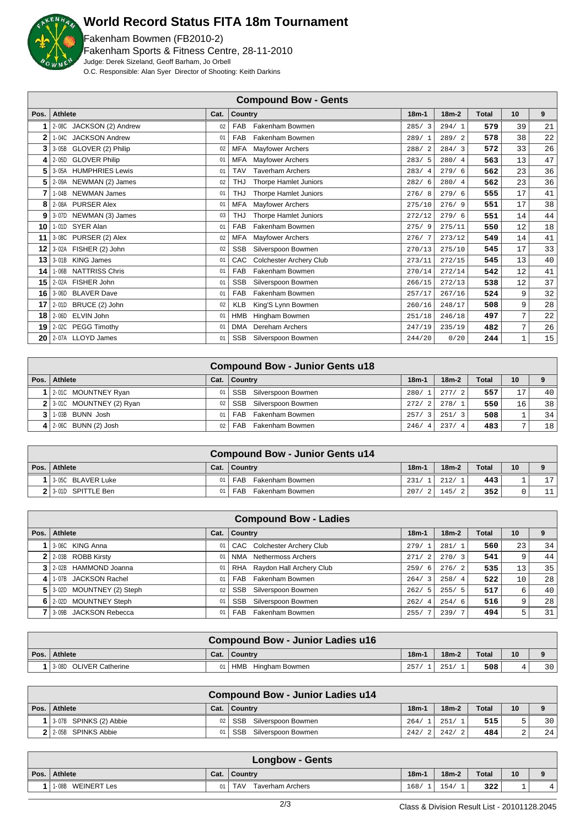

### **World Record Status FITA 18m Tournament**

Fakenham Bowmen (FB2010-2) Fakenham Sports & Fitness Centre, 28-11-2010 Judge: Derek Sizeland, Geoff Barham, Jo Orbell O.C. Responsible: Alan Syer Director of Shooting: Keith Darkins

|      |                                |      | <b>Compound Bow - Gents</b>           |                        |         |              |              |    |
|------|--------------------------------|------|---------------------------------------|------------------------|---------|--------------|--------------|----|
| Pos. | <b>Athlete</b>                 | Cat. | <b>Country</b>                        | $18m-1$                | $18m-2$ | <b>Total</b> | 10           | 9  |
|      | 2-08C JACKSON (2) Andrew       | 02   | Fakenham Bowmen<br><b>FAB</b>         | 285/3                  | 294/1   | 579          | 39           | 21 |
| 2    | 1-04C JACKSON Andrew           | 01   | Fakenham Bowmen<br><b>FAB</b>         | 289/1                  | 289/2   | 578          | 38           | 22 |
| 3    | 3-05B GLOVER (2) Philip        | 02   | <b>MFA</b><br>Mayfower Archers        | 288/<br>$\overline{2}$ | 284/3   | 572          | 33           | 26 |
| 4    | 2-05D GLOVER Philip            | 01   | Mayfower Archers<br><b>MFA</b>        | 283/5                  | 280/4   | 563          | 13           | 47 |
| 5    | 3-05A HUMPHRIES Lewis          | 01   | <b>TAV</b><br><b>Taverham Archers</b> | 283/4                  | 279/6   | 562          | 23           | 36 |
| 5    | 2-09A NEWMAN (2) James         | 02   | <b>THJ</b><br>Thorpe Hamlet Juniors   | 282/<br>- 6            | 280/4   | 562          | 23           | 36 |
| 7    | 1-04B NEWMAN James             | 01   | Thorpe Hamlet Juniors<br><b>THJ</b>   | 276/8                  | 279/6   | 555          | 17           | 41 |
| 8    | 2-08A PURSER Alex              | 01   | <b>MFA</b><br><b>Mayfower Archers</b> | 275/10                 | 276/9   | 551          | 17           | 38 |
| 9    | 3-07D NEWMAN (3) James         | 03   | <b>THJ</b><br>Thorpe Hamlet Juniors   | 272/12                 | 279/6   | 551          | 14           | 44 |
| 10   | 1-01D SYER Alan                | 01   | FAB<br>Fakenham Bowmen                | 275/9                  | 275/11  | 550          | 12           | 18 |
| 11   | 3-08C PURSER (2) Alex          | 02   | <b>Mayfower Archers</b><br><b>MFA</b> | 276/7                  | 273/12  | 549          | 14           | 41 |
| 12   | 3-02A FISHER (2) John          | 02   | <b>SSB</b><br>Silverspoon Bowmen      | 270/13                 | 275/10  | 545          | 17           | 33 |
| 13   | 3-01B KING James               | 01   | CAC<br><b>Colchester Archery Club</b> | 273/11                 | 272/15  | 545          | 13           | 40 |
| 14   | <b>NATTRISS Chris</b><br>1-06B | 01   | FAB<br>Fakenham Bowmen                | 270/14                 | 272/14  | 542          | 12           | 41 |
| 15   | 2-02A FISHER John              | 01   | <b>SSB</b><br>Silverspoon Bowmen      | 266/15                 | 272/13  | 538          | 12           | 37 |
| 16   | 3-06D BLAVER Dave              | 01   | FAB<br>Fakenham Bowmen                | 257/17                 | 267/16  | 524          | 9            | 32 |
| 17   | 2-01D BRUCE (2) John           | 02   | <b>KLB</b><br>King'S Lynn Bowmen      | 260/16                 | 248/17  | 508          | 9            | 28 |
| 18   | ELVIN John<br>2-06D            | 01   | Hingham Bowmen<br><b>HMB</b>          | 251/18                 | 246/18  | 497          | 7            | 22 |
| 19   | 2-02C PEGG Timothy             | 01   | Dereham Archers<br><b>DMA</b>         | 247/19                 | 235/19  | 482          | 7            | 26 |
| 20   | 2-07A LLOYD James              | 01   | <b>SSB</b><br>Silverspoon Bowmen      | 244/20                 | 0/20    | 244          | $\mathbf{1}$ | 15 |

|                               |    | <b>Compound Bow - Junior Gents u18</b> |         |         |              |                 |                 |
|-------------------------------|----|----------------------------------------|---------|---------|--------------|-----------------|-----------------|
| Pos. Athlete                  |    | Cat.   Country                         | $18m-1$ | $18m-2$ | <b>Total</b> | 10              | 9               |
| 1 2-010 MOUNTNEY Ryan         | 01 | SSB<br>Silverspoon Bowmen              | 280/1   | 277/2   | 557          | 17              | 40 <sup>1</sup> |
| $2$   3-01C MOUNTNEY (2) Ryan | 02 | SSB Silverspoon Bowmen                 | 272/2   | 278/1   | 550          | 16 <sub>1</sub> | 38              |
| $3$   1-03B BUNN Josh         | 01 | Fakenham Bowmen<br><b>FAB</b>          | 257/3   | 251/3   | 508          |                 | 34              |
| 4   $2-06C$ BUNN (2) Josh     | 02 | <b>FAB</b><br>Fakenham Bowmen          | 246/4   | 237/4   | 483          | $\overline{ }$  | 18              |

|                   |                 | <b>Compound Bow - Junior Gents u14</b> |         |                        |              |                 |             |
|-------------------|-----------------|----------------------------------------|---------|------------------------|--------------|-----------------|-------------|
| Pos.   Athlete    |                 | Cat.   Country                         | $18m-1$ | $18m-2$                | <b>Total</b> | 10 <sup>1</sup> | $\mathbf o$ |
| 3-05C BLAVER Luke | 01 <sub>1</sub> | FAB Fakenham Bowmen                    | 231/    | 212/                   | 443          |                 | 17          |
| 3-01D SPITTLE Ben | 01 <sub>1</sub> | Fakenham Bowmen<br>FAB                 | 207/    | 145/<br>$\overline{2}$ | 352          |                 |             |

|      |                                |      | <b>Compound Bow - Ladies</b>     |             |         |       |    |    |
|------|--------------------------------|------|----------------------------------|-------------|---------|-------|----|----|
| Pos. | Athlete                        | Cat. | Country                          | $18m-1$     | $18m-2$ | Total | 10 |    |
|      | 3-06C KING Anna                | 01   | CAC Colchester Archery Club      | 279/1       | 281/1   | 560   | 23 | 34 |
|      | 2-03B ROBB Kirsty              | 01   | Nethermoss Archers<br><b>NMA</b> | 271/<br>2   | 270/3   | 541   |    | 44 |
|      | 3 2-02B HAMMOND Joanna         | 01   | Raydon Hall Archery Club<br>RHA  | 259/<br>- 6 | 276/2   | 535   | 13 | 35 |
| 4    | 1-07B JACKSON Rachel           | 01   | Fakenham Bowmen<br><b>FAB</b>    | 264/3       | 258/4   | 522   | 10 | 28 |
|      | $5$   3-02D MOUNTNEY (2) Steph | 02   | <b>SSB</b><br>Silverspoon Bowmen | 262/5       | 255/5   | 517   | 6  | 40 |
|      | 6 2-02D MOUNTNEY Steph         | 01   | <b>SSB</b><br>Silverspoon Bowmen | 262/<br>4   | 254/6   | 516   | 9  | 28 |
|      | 3-09B JACKSON Rebecca          | 01   | Fakenham Bowmen<br><b>FAB</b>    | 255/        | 239/7   | 494   | 5  | 31 |

|                        |      | <b>Compound Bow - Junior Ladies u16</b> |         |         |       |                 |                 |
|------------------------|------|-----------------------------------------|---------|---------|-------|-----------------|-----------------|
| Pos. Athlete           | Cat. | Country                                 | $18m -$ | $18m-2$ | Total | 10 <sup>1</sup> |                 |
| 3-08D OLIVER Catherine | 01   | HMB<br>Hingham Bowmen                   | 257     | 251     | 508   |                 | 30 <sup>1</sup> |

|                        |                 | <b>Compound Bow - Junior Ladies u14</b> |         |              |              |    |                 |
|------------------------|-----------------|-----------------------------------------|---------|--------------|--------------|----|-----------------|
| Pos.   Athlete         | Cat.            | $\overline{\phantom{a}}$ Country        | $18m-1$ | $18m-2$      | <b>Total</b> | 10 | $\Omega$        |
| 3.07B SPINKS (2) Abbie | 02 <sub>1</sub> | SSB Silverspoon Bowmen                  | 264/    | 251/         | 515          |    | 30 <sup>1</sup> |
| 2 2 2-05B SPINKS Abbie | 01              | SSB<br>Silverspoon Bowmen               |         | 242/21242/21 | 484          |    | 24              |

| <b>Longbow - Gents</b> |                             |      |                                       |         |         |              |    |          |  |
|------------------------|-----------------------------|------|---------------------------------------|---------|---------|--------------|----|----------|--|
| Pos.                   | Athlete                     | Cat. | Country                               | $18m -$ | $18m-2$ | <b>Total</b> | 10 | $\Omega$ |  |
|                        | <b>WEINERT Les</b><br>1-08B | 01   | <b>TAV</b><br><b>Taverham Archers</b> | 168/    | 154/    | 322          | ÷  |          |  |